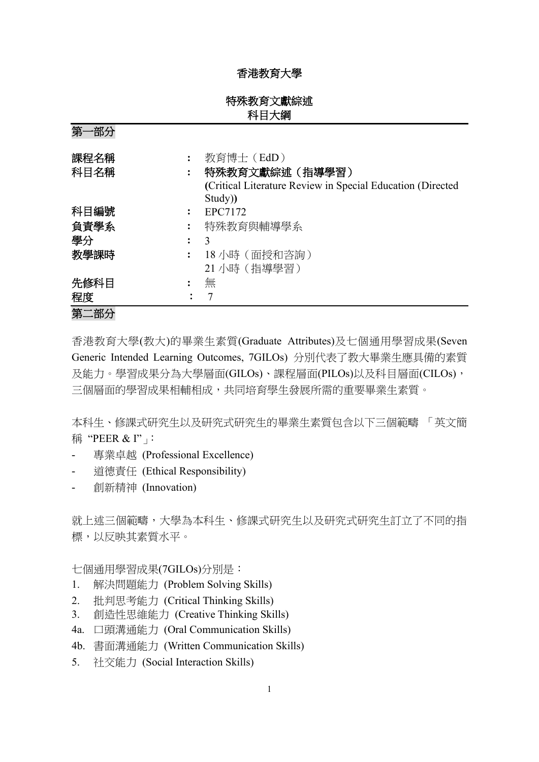### 香港教育大學

| 特殊教育文獻綜述 |
|----------|
| 科目大綱     |

第一部分

| 課程名稱 |   | 教育博士 (EdD)                                                 |
|------|---|------------------------------------------------------------|
| 科目名稱 |   | 特殊教育文獻綜述(指導學習)                                             |
|      |   | (Critical Literature Review in Special Education (Directed |
|      |   | Study)                                                     |
| 科目編號 |   | EPC7172                                                    |
| 負責學系 |   | 特殊教育與輔導學系                                                  |
| 學分   | : | $\mathcal{R}$                                              |
| 教學課時 |   | 18 小時 (面授和咨詢)                                              |
|      |   | 21 小時 (指導學習)                                               |
| 先修科目 |   | 無                                                          |
| 程度   |   | 7                                                          |
| 第二部分 |   |                                                            |

香港教育大學(教大)的畢業生素質(Graduate Attributes)及七個通用學習成果(Seven Generic Intended Learning Outcomes, 7GILOs) 分別代表了教大畢業生應具備的素質 及能力。學習成果分為大學層面(GILOs)、課程層面(PILOs)以及科目層面(CILOs), 三個層面的學習成果相輔相成,共同培育學生發展所需的重要畢業生素質。

本科生、修課式研究生以及研究式研究生的畢業生素質包含以下三個範疇 「英文簡 稱 "PEER & I"」

- 專業卓越 (Professional Excellence)
- 道德責任 (Ethical Responsibility)
- 創新精神 (Innovation)

就上述三個範疇,大學為本科生、修課式研究生以及研究式研究生訂立了不同的指 標,以反映其素質水平。

七個通用學習成果(7GILOs)分別是:

- 1. 解決問題能力 (Problem Solving Skills)
- 2. 批判思考能力 (Critical Thinking Skills)
- 3. 創造性思維能力 (Creative Thinking Skills)
- 4a. 口頭溝通能力 (Oral Communication Skills)
- 4b. 書面溝通能力 (Written Communication Skills)
- 5. 社交能力 (Social Interaction Skills)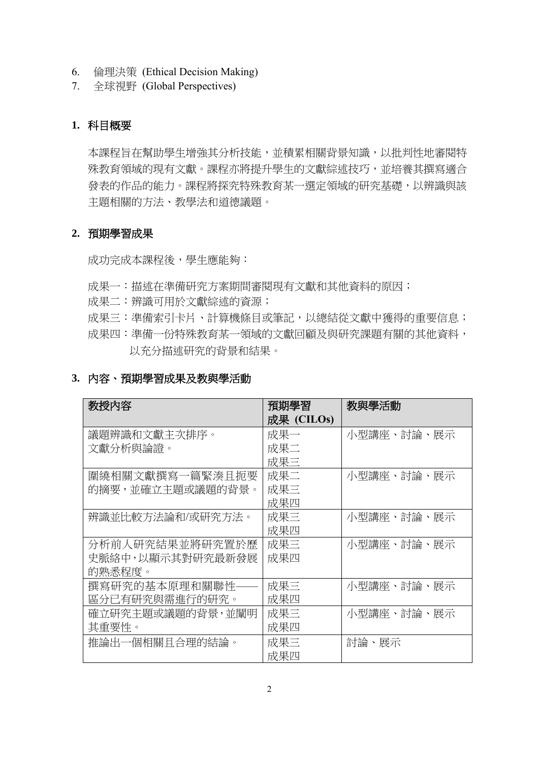- 6. 倫理決策 (Ethical Decision Making)
- 7. 全球視野 (Global Perspectives)

### **1.** 科目概要

本課程旨在幫助學生增強其分析技能,並積累相關背景知識,以批判性地審閱特 殊教育領域的現有文獻。課程亦將提升學生的文獻綜述技巧,並培養其撰寫適合 發表的作品的能力。課程將探究特殊教育某一選定領域的研究基礎,以辨識與該 主題相關的方法、教學法和道德議題。

### **2.** 預期學習成果

成功完成本課程後,學生應能夠:

- 成果一:描述在準備研究方案期間審閱現有文獻和其他資料的原因;
- 成果二: 辨識可用於文獻綜述的資源;
- 成果三:準備索引卡片、計算機條目或筆記,以總結從文獻中獲得的重要信息;
- 成果四:準備一份特殊教育某一領域的文獻回顧及與研究課題有關的其他資料, 以充分描述研究的背景和結果。

### **3.** 內容、預期學習成果及教與學活動

| 教授內容             | 預期學習       | 教與學活動      |
|------------------|------------|------------|
|                  | 成果 (CILOs) |            |
| 議題辨識和文獻主次排序。     | 成果一        | 小型講座、討論、展示 |
| 文獻分析與論證。         | 成果二        |            |
|                  | 成果三        |            |
| 圍繞相關文獻撰寫一篇緊湊且扼要  | 成果二        | 小型講座、討論、展示 |
| 的摘要,並確立主題或議題的背景。 | 成果三        |            |
|                  | 成果四        |            |
| 辨識並比較方法論和/或研究方法。 | 成果三        | 小型講座、討論、展示 |
|                  | 成果四        |            |
| 分析前人研究結果並將研究置於歷  | 成果三        | 小型講座、討論、展示 |
| 史脈絡中,以顯示其對研究最新發展 | 成果四        |            |
| 的熟悉程度。           |            |            |
| 撰寫研究的基本原理和關聯性-   | 成果三        | 小型講座、討論、展示 |
| 區分已有研究與需進行的研究。   | 成果四        |            |
| 確立研究主題或議題的背景,並闡明 | 成果三        | 小型講座、討論、展示 |
| 其重要性。            | 成果四        |            |
| 推論出一個相關且合理的結論。   | 成果三        | 討論・展示      |
|                  | 成果四        |            |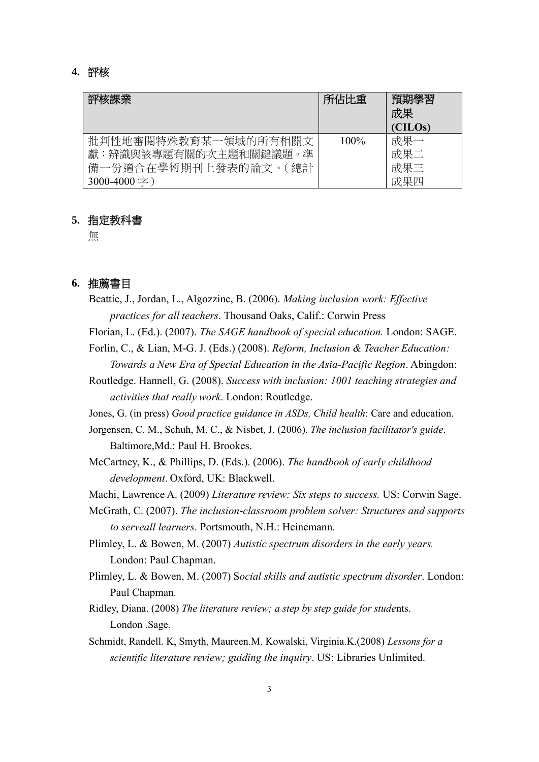#### **4.** 評核

| 評核課業                  | 所佔比重    | 預期學習<br>成果<br>(CILOs) |
|-----------------------|---------|-----------------------|
| 批判性地審閱特殊教育某一領域的所有相關文  | $100\%$ | 成果一                   |
| 獻:辨識與該專題有關的次主題和關鍵議題。準 |         | 成果二                   |
| 備一份適合在學術期刊上發表的論文。(總計  |         | 成果三                   |
| $3000 - 4000$ 字       |         | 成果四                   |

#### **5.** 指定教科書

無

### **6.** 推薦書目

Beattie, J., Jordan, L., Algozzine, B. (2006). *Making inclusion work: Effective practices for all teachers*. Thousand Oaks, Calif.: Corwin Press

- Florian, L. (Ed.). (2007). *The SAGE handbook of special education.* London: SAGE.
- Forlin, C., & Lian, M-G. J. (Eds.) (2008). *Reform, Inclusion & Teacher Education: Towards a New Era of Special Education in the Asia-Pacific Region*. Abingdon:
- Routledge. Hannell, G. (2008). *Success with inclusion: 1001 teaching strategies and activities that really work*. London: Routledge.
- Jones, G. (in press) *Good practice guidance in ASDs, Child health*: Care and education.
- Jorgensen, C. M., Schuh, M. C., & Nisbet, J. (2006). *The inclusion facilitator's guide*. Baltimore,Md.: Paul H. Brookes.
- McCartney, K., & Phillips, D. (Eds.). (2006). *The handbook of early childhood development*. Oxford, UK: Blackwell.

Machi, Lawrence A. (2009) *Literature review: Six steps to success.* US: Corwin Sage.

- McGrath, C. (2007). *The inclusion-classroom problem solver: Structures and supports to serveall learners*. Portsmouth, N.H.: Heinemann.
- Plimley, L. & Bowen, M. (2007) *Autistic spectrum disorders in the early years.* London: Paul Chapman.
- Plimley, L. & Bowen, M. (2007) S*ocial skills and autistic spectrum disorder*. London: Paul Chapman.

Ridley, Diana. (2008) *The literature review; a step by step guide for stude*nts. London .Sage.

Schmidt, Randell. K, Smyth, Maureen.M. Kowalski, Virginia.K.(2008) *Lessons for a scientific literature review; guiding the inquiry*. US: Libraries Unlimited.